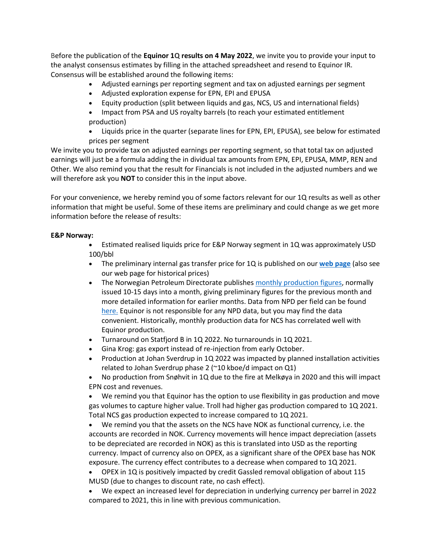Before the publication of the **Equinor 1Q results on 4 May 2022**, we invite you to provide your input to the analyst consensus estimates by filling in the attached spreadsheet and resend to Equinor IR. Consensus will be established around the following items:

- Adjusted earnings per reporting segment and tax on adjusted earnings per segment
- Adjusted exploration expense for EPN, EPI and EPUSA
- Equity production (split between liquids and gas, NCS, US and international fields)
- Impact from PSA and US royalty barrels (to reach your estimated entitlement production)
- Liquids price in the quarter (separate lines for EPN, EPI, EPUSA), see below for estimated prices per segment

We invite you to provide tax on adjusted earnings per reporting segment, so that total tax on adjusted earnings will just be a formula adding the in dividual tax amounts from EPN, EPI, EPUSA, MMP, REN and Other. We also remind you that the result for Financials is not included in the adjusted numbers and we will therefore ask you **NOT** to consider this in the input above.

For your convenience, we hereby remind you of some factors relevant for our 1Q results as well as other information that might be useful. Some of these items are preliminary and could change as we get more information before the release of results:

## **E&P Norway:**

• Estimated realised liquids price for E&P Norway segment in 1Q was approximately USD 100/bbl

- The preliminary internal gas transfer price for 1Q is published on our **[web page](https://eur03.safelinks.protection.outlook.com/?url=https%3A%2F%2Furldefense.com%2Fv3%2F__https%3A%2Feur03.safelinks.protection.outlook.com%2F%3Furl%3Dhttps*3A*2F*2Furldefense.com*2Fv3*2F__https*3A*2Fwww.equinor.com*2Fen*2Finvestors*2Four-dividend*2Finternal-gas-price.html__*3B!!A9csd-2btg!KyrinzsNJcGSu2ChEtUK4TohItXTLxyh7C-zfPpg-AhQnDUeZuHbz0nZlrTtFA*24%26data%3D04*7C01*7Clava*40equinor.com*7C3dc1546e7515467699cd08d93fa0e29c*7C3aa4a235b6e248d591957fcf05b459b0*7C0*7C0*7C637610782490313586*7CUnknown*7CTWFpbGZsb3d8eyJWIjoiMC4wLjAwMDAiLCJQIjoiV2luMzIiLCJBTiI6Ik1haWwiLCJXVCI6Mn0*3D*7C1000%26sdata%3DQ*2F3*2BtZxN6jONkW01nWhCiNtH8VvDkblnzdrt4Jb7K00*3D%26reserved%3D0__%3BJSUlJSUlJSUlJSUlJSUlJSUlJSUlJSUlJSUlJQ!!L0Ua0Wts!JCb_HTS6kift9hQxSEvod_IWghXSxDqNXGA8arBzpWxMvFok709VuPa5O9WFfErL2nyWzRc%24&data=04%7C01%7Clava%40equinor.com%7Cc46c28685975450af9d608d98a1fc0cf%7C3aa4a235b6e248d591957fcf05b459b0%7C0%7C0%7C637692691500386152%7CUnknown%7CTWFpbGZsb3d8eyJWIjoiMC4wLjAwMDAiLCJQIjoiV2luMzIiLCJBTiI6Ik1haWwiLCJXVCI6Mn0%3D%7C1000&sdata=UYbbEERsJ%2FtwRtRzWjWJqiQdWTj0gIPzjgVesRC%2Bjwk%3D&reserved=0)** (also see our web page for historical prices)
- The Norwegian Petroleum Directorate publishes [monthly production figures,](https://eur03.safelinks.protection.outlook.com/?url=https%3A%2F%2Furldefense.com%2Fv3%2F__https%3A%2Feur03.safelinks.protection.outlook.com%2F%3Furl%3Dhttps*3A*2F*2Furldefense.com*2Fv3*2F__https*3A*2Feur01.safelinks.protection.outlook.com*2F*3Furl*3Dhttp*3A*2F*2Fwww.npd.no*2Fen*2Fnews*2FProduction-figures*2F*26data*3D02*7C01*7Caholte*40keplercheuvreux.com*7C54dba1f6d0da430aa25408d827f9753f*7C1929912549c64457969170989b404027*7C1*7C0*7C637303299806926864*26sdata*3DmDqmvDuXYai5Trh2naeRU*2FBBk4PJm1CVFYJt9FLXaBk*3D*26reserved*3D0__*3BJSUlJSUlJSUlJSUlJSUlJSU!!A9csd-2btg!KyrinzsNJcGSu2ChEtUK4TohItXTLxyh7C-zfPpg-AhQnDUeZuHbz0mB_lwXKQ*24%26data%3D04*7C01*7Clava*40equinor.com*7C3dc1546e7515467699cd08d93fa0e29c*7C3aa4a235b6e248d591957fcf05b459b0*7C0*7C0*7C637610782490303629*7CUnknown*7CTWFpbGZsb3d8eyJWIjoiMC4wLjAwMDAiLCJQIjoiV2luMzIiLCJBTiI6Ik1haWwiLCJXVCI6Mn0*3D*7C1000%26sdata%3DdC80MWB7rUN7sPLTT4w7K1UvZQiNxqboQ89osbFiL*2FA*3D%26reserved%3D0__%3BJSUlJSUlJSUlJSoqKioqKiolJSoqKioqKioqJSUqKiUlJSUlJSUlJSUlJSUlJSUlJQ!!L0Ua0Wts!JCb_HTS6kift9hQxSEvod_IWghXSxDqNXGA8arBzpWxMvFok709VuPa5O9WFfErLn7VBS6c%24&data=04%7C01%7Clava%40equinor.com%7Cc46c28685975450af9d608d98a1fc0cf%7C3aa4a235b6e248d591957fcf05b459b0%7C0%7C0%7C637692691500376198%7CUnknown%7CTWFpbGZsb3d8eyJWIjoiMC4wLjAwMDAiLCJQIjoiV2luMzIiLCJBTiI6Ik1haWwiLCJXVCI6Mn0%3D%7C1000&sdata=iyqBe%2FUxTyUvdbAbOka2lC3NJ2GQWnXccFKup%2FlV60s%3D&reserved=0) normally issued 10-15 days into a month, giving preliminary figures for the previous month and more detailed information for earlier months. Data from NPD per field can be found [here.](https://eur03.safelinks.protection.outlook.com/?url=https%3A%2F%2Furldefense.com%2Fv3%2F__https%3A%2Feur03.safelinks.protection.outlook.com%2F%3Furl%3Dhttps*3A*2F*2Furldefense.com*2Fv3*2F__https*3A*2Feur01.safelinks.protection.outlook.com*2F*3Furl*3Dhttp*3A*2F*2Ffactpages.npd.no*2Ffactpages*2FDefault.aspx*3Fculture*3Dnb-no*26nav1*3Dfield*26nav2*3DTableView*257cProduction*257cSaleable*257cMonthly*26data*3D02*7C01*7Caholte*40keplercheuvreux.com*7C54dba1f6d0da430aa25408d827f9753f*7C1929912549c64457969170989b404027*7C1*7C0*7C637303299806936820*26sdata*3Deqjo8YxKCq9ZATQGXQd2lxs*2BiqwNeVmhT9XVBmPwyOo*3D*26reserved*3D0__*3BJSUlJSUlJSUlJSUlJSUlJSUlJSUlJSUl!!A9csd-2btg!KyrinzsNJcGSu2ChEtUK4TohItXTLxyh7C-zfPpg-AhQnDUeZuHbz0ktfwKwlw*24%26data%3D04*7C01*7Clava*40equinor.com*7C3dc1546e7515467699cd08d93fa0e29c*7C3aa4a235b6e248d591957fcf05b459b0*7C0*7C0*7C637610782490303629*7CUnknown*7CTWFpbGZsb3d8eyJWIjoiMC4wLjAwMDAiLCJQIjoiV2luMzIiLCJBTiI6Ik1haWwiLCJXVCI6Mn0*3D*7C1000%26sdata%3DTp2AoDMo1AMWOODSE3VhHHnoIJp21*2FMjuqN1tzAUJvk*3D%26reserved%3D0__%3BJSUlJSUlJSUlJSoqKioqKioqKioqKioqJSUqKioqKioqKiUlKiolJSUlJSUlJSUlJSUlJSUlJSU!!L0Ua0Wts!JCb_HTS6kift9hQxSEvod_IWghXSxDqNXGA8arBzpWxMvFok709VuPa5O9WFfErLLVKhJ4Q%24&data=04%7C01%7Clava%40equinor.com%7Cc46c28685975450af9d608d98a1fc0cf%7C3aa4a235b6e248d591957fcf05b459b0%7C0%7C0%7C637692691500386152%7CUnknown%7CTWFpbGZsb3d8eyJWIjoiMC4wLjAwMDAiLCJQIjoiV2luMzIiLCJBTiI6Ik1haWwiLCJXVCI6Mn0%3D%7C1000&sdata=ftQQmTl%2B8yAS%2BNCPqy6%2B3C0hJFWmfPa9rtIgA0%2BKyzg%3D&reserved=0) Equinor is not responsible for any NPD data, but you may find the data convenient. Historically, monthly production data for NCS has correlated well with Equinor production.
- Turnaround on Statfjord B in 1Q 2022. No turnarounds in 1Q 2021.
- Gina Krog: gas export instead of re-injection from early October.
- Production at Johan Sverdrup in 1Q 2022 was impacted by planned installation activities related to Johan Sverdrup phase 2 (~10 kboe/d impact on Q1)
- No production from Snøhvit in 1Q due to the fire at Melkøya in 2020 and this will impact EPN cost and revenues.

• We remind you that Equinor has the option to use flexibility in gas production and move gas volumes to capture higher value. Troll had higher gas production compared to 1Q 2021. Total NCS gas production expected to increase compared to 1Q 2021.

• We remind you that the assets on the NCS have NOK as functional currency, i.e. the accounts are recorded in NOK. Currency movements will hence impact depreciation (assets to be depreciated are recorded in NOK) as this is translated into USD as the reporting currency. Impact of currency also on OPEX, as a significant share of the OPEX base has NOK exposure. The currency effect contributes to a decrease when compared to 1Q 2021.

• OPEX in 1Q is positively impacted by credit Gassled removal obligation of about 115 MUSD (due to changes to discount rate, no cash effect).

• We expect an increased level for depreciation in underlying currency per barrel in 2022 compared to 2021, this in line with previous communication.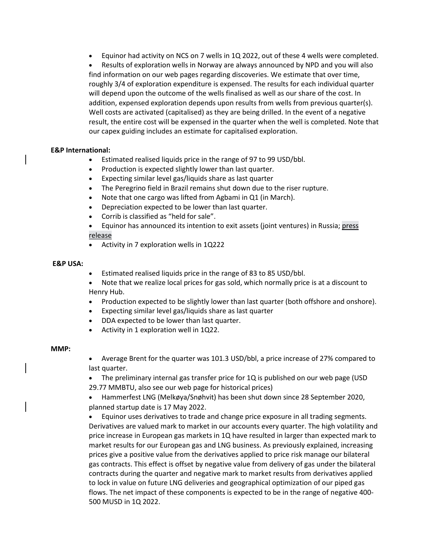• Equinor had activity on NCS on 7 wells in 1Q 2022, out of these 4 wells were completed.

• Results of exploration wells in Norway are always announced by NPD and you will also find information on our web pages regarding discoveries. We estimate that over time, roughly 3/4 of exploration expenditure is expensed. The results for each individual quarter will depend upon the outcome of the wells finalised as well as our share of the cost. In addition, expensed exploration depends upon results from wells from previous quarter(s). Well costs are activated (capitalised) as they are being drilled. In the event of a negative result, the entire cost will be expensed in the quarter when the well is completed. Note that our capex guiding includes an estimate for capitalised exploration.

### **E&P International:**

- Estimated realised liquids price in the range of 97 to 99 USD/bbl.
- Production is expected slightly lower than last quarter.
- Expecting similar level gas/liquids share as last quarter
- The Peregrino field in Brazil remains shut down due to the riser rupture.
- Note that one cargo was lifted from Agbami in Q1 (in March).
- Depreciation expected to be lower than last quarter.
- Corrib is classified as "held for sale".

• Equinor has announced its intention to exit assets (joint ventures) in Russia; [press](https://www.equinor.com/en/news/20220227-equinor-start-exiting-joint-ventures-russia.html)  [release](https://www.equinor.com/en/news/20220227-equinor-start-exiting-joint-ventures-russia.html)

• Activity in 7 exploration wells in 1Q222

### **E&P USA:**

- Estimated realised liquids price in the range of 83 to 85 USD/bbl.
- Note that we realize local prices for gas sold, which normally price is at a discount to Henry Hub.
- Production expected to be slightly lower than last quarter (both offshore and onshore).
- Expecting similar level gas/liquids share as last quarter
- DDA expected to be lower than last quarter.
- Activity in 1 exploration well in 1Q22.

#### **MMP:**

• Average Brent for the quarter was 101.3 USD/bbl, a price increase of 27% compared to last quarter.

• The preliminary internal gas transfer price for 1Q is published on ou[r web page](https://eur03.safelinks.protection.outlook.com/?url=https%3A%2F%2Furldefense.com%2Fv3%2F__https%3A%2Feur03.safelinks.protection.outlook.com%2F%3Furl%3Dhttps*3A*2F*2Furldefense.com*2Fv3*2F__https*3A*2Fwww.equinor.com*2Fen*2Finvestors*2Four-dividend*2Finternal-gas-price.html__*3B!!A9csd-2btg!KyrinzsNJcGSu2ChEtUK4TohItXTLxyh7C-zfPpg-AhQnDUeZuHbz0nZlrTtFA*24%26data%3D04*7C01*7Clava*40equinor.com*7C3dc1546e7515467699cd08d93fa0e29c*7C3aa4a235b6e248d591957fcf05b459b0*7C0*7C0*7C637610782490313586*7CUnknown*7CTWFpbGZsb3d8eyJWIjoiMC4wLjAwMDAiLCJQIjoiV2luMzIiLCJBTiI6Ik1haWwiLCJXVCI6Mn0*3D*7C1000%26sdata%3DQ*2F3*2BtZxN6jONkW01nWhCiNtH8VvDkblnzdrt4Jb7K00*3D%26reserved%3D0__%3BJSUlJSUlJSUlJSUlJSUlJSUlJSUlJSUlJSUlJQ!!L0Ua0Wts!JCb_HTS6kift9hQxSEvod_IWghXSxDqNXGA8arBzpWxMvFok709VuPa5O9WFfErL2nyWzRc%24&data=04%7C01%7Clava%40equinor.com%7Cc46c28685975450af9d608d98a1fc0cf%7C3aa4a235b6e248d591957fcf05b459b0%7C0%7C0%7C637692691500386152%7CUnknown%7CTWFpbGZsb3d8eyJWIjoiMC4wLjAwMDAiLCJQIjoiV2luMzIiLCJBTiI6Ik1haWwiLCJXVCI6Mn0%3D%7C1000&sdata=UYbbEERsJ%2FtwRtRzWjWJqiQdWTj0gIPzjgVesRC%2Bjwk%3D&reserved=0) (USD 29.77 MMBTU, also see our web page for historical prices)

• Hammerfest LNG (Melkøya/Snøhvit) has been shut down since 28 September 2020, planned startup date is 17 May 2022.

• Equinor uses derivatives to trade and change price exposure in all trading segments. Derivatives are valued mark to market in our accounts every quarter. The high volatility and price increase in European gas markets in 1Q have resulted in larger than expected mark to market results for our European gas and LNG business. As previously explained, increasing prices give a positive value from the derivatives applied to price risk manage our bilateral gas contracts. This effect is offset by negative value from delivery of gas under the bilateral contracts during the quarter and negative mark to market results from derivatives applied to lock in value on future LNG deliveries and geographical optimization of our piped gas flows. The net impact of these components is expected to be in the range of negative 400- 500 MUSD in 1Q 2022.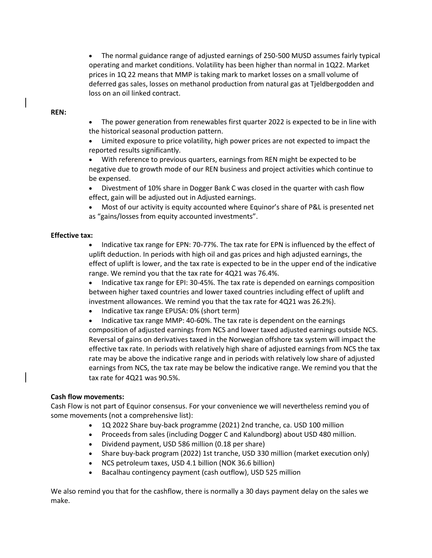• The normal guidance range of adjusted earnings of 250-500 MUSD assumes fairly typical operating and market conditions. Volatility has been higher than normal in 1Q22. Market prices in 1Q 22 means that MMP is taking mark to market losses on a small volume of deferred gas sales, losses on methanol production from natural gas at Tjeldbergodden and loss on an oil linked contract.

### **REN:**

- The power generation from renewables first quarter 2022 is expected to be in line with the historical seasonal production pattern.
- Limited exposure to price volatility, high power prices are not expected to impact the reported results significantly.
- With reference to previous quarters, earnings from REN might be expected to be negative due to growth mode of our REN business and project activities which continue to be expensed.
- Divestment of 10% share in Dogger Bank C was closed in the quarter with cash flow effect, gain will be adjusted out in Adjusted earnings.
- Most of our activity is equity accounted where Equinor's share of P&L is presented net as "gains/losses from equity accounted investments".

### **Effective tax:**

- Indicative tax range for EPN: 70-77%. The tax rate for EPN is influenced by the effect of uplift deduction. In periods with high oil and gas prices and high adjusted earnings, the effect of uplift is lower, and the tax rate is expected to be in the upper end of the indicative range. We remind you that the tax rate for 4Q21 was 76.4%.
- Indicative tax range for EPI: 30-45%. The tax rate is depended on earnings composition between higher taxed countries and lower taxed countries including effect of uplift and investment allowances. We remind you that the tax rate for 4Q21 was 26.2%).
- Indicative tax range EPUSA: 0% (short term)
- Indicative tax range MMP: 40-60%. The tax rate is dependent on the earnings composition of adjusted earnings from NCS and lower taxed adjusted earnings outside NCS. Reversal of gains on derivatives taxed in the Norwegian offshore tax system will impact the effective tax rate. In periods with relatively high share of adjusted earnings from NCS the tax rate may be above the indicative range and in periods with relatively low share of adjusted earnings from NCS, the tax rate may be below the indicative range. We remind you that the tax rate for 4Q21 was 90.5%.

## **Cash flow movements:**

Cash Flow is not part of Equinor consensus. For your convenience we will nevertheless remind you of some movements (not a comprehensive list):

- 1Q 2022 Share buy-back programme (2021) 2nd tranche, ca. USD 100 million
- Proceeds from sales (including Dogger C and Kalundborg) about USD 480 million.
- Dividend payment, USD 586 million (0.18 per share)
- Share buy-back program (2022) 1st tranche, USD 330 million (market execution only)
- NCS petroleum taxes, USD 4.1 billion (NOK 36.6 billion)
- Bacalhau contingency payment (cash outflow), USD 525 million

We also remind you that for the cashflow, there is normally a 30 days payment delay on the sales we make.